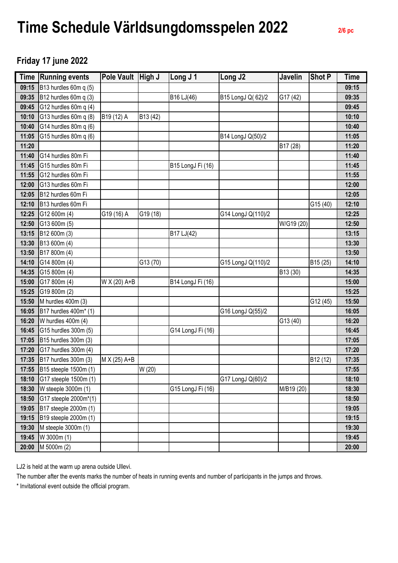## **Time Schedule Världsungdomsspelen 2022 2/6 pc**

## **Friday 17 june 2022**

| <b>Time</b> | <b>Running events</b>   | <b>Pole Vault</b> | High J   | Long J 1          | Long J2            | Javelin    | <b>Shot P</b>        | <b>Time</b> |
|-------------|-------------------------|-------------------|----------|-------------------|--------------------|------------|----------------------|-------------|
| 09:15       | B13 hurdles 60m q (5)   |                   |          |                   |                    |            |                      | 09:15       |
| 09:35       | B12 hurdles 60m q (3)   |                   |          | B16 LJ(46)        | B15 LongJ Q(62)/2  | G17 (42)   |                      | 09:35       |
| 09:45       | G12 hurdles 60m q (4)   |                   |          |                   |                    |            |                      | 09:45       |
| 10:10       | G13 hurdles 60m q (8)   | B19 (12) A        | B13 (42) |                   |                    |            |                      | 10:10       |
| 10:40       | G14 hurdles 80m q (6)   |                   |          |                   |                    |            |                      | 10:40       |
| 11:05       | G15 hurdles 80m q (6)   |                   |          |                   | B14 LongJ Q(50)/2  |            |                      | 11:05       |
| 11:20       |                         |                   |          |                   |                    | B17 (28)   |                      | 11:20       |
| 11:40       | G14 hurdles 80m Fi      |                   |          |                   |                    |            |                      | 11:40       |
| 11:45       | G15 hurdles 80m Fi      |                   |          | B15 LongJ Fi (16) |                    |            |                      | 11:45       |
| 11:55       | G12 hurdles 60m Fi      |                   |          |                   |                    |            |                      | 11:55       |
| 12:00       | G13 hurdles 60m Fi      |                   |          |                   |                    |            |                      | 12:00       |
| 12:05       | B12 hurdles 60m Fi      |                   |          |                   |                    |            |                      | 12:05       |
| 12:10       | B13 hurdles 60m Fi      |                   |          |                   |                    |            | G15 (40)             | 12:10       |
| 12:25       | G12 600m (4)            | G19 (16) A        | G19 (18) |                   | G14 LongJ Q(110)/2 |            |                      | 12:25       |
| 12:50       | G13 600m (5)            |                   |          |                   |                    | W/G19 (20) |                      | 12:50       |
| 13:15       | B12 600m (3)            |                   |          | B17 LJ(42)        |                    |            |                      | 13:15       |
| 13:30       | B13 600m (4)            |                   |          |                   |                    |            |                      | 13:30       |
| 13:50       | B17 800m (4)            |                   |          |                   |                    |            |                      | 13:50       |
| 14:10       | G14 800m (4)            |                   | G13 (70) |                   | G15 LongJ Q(110)/2 |            | B <sub>15</sub> (25) | 14:10       |
| 14:35       | G15 800m (4)            |                   |          |                   |                    | B13 (30)   |                      | 14:35       |
| 15:00       | G17 800m (4)            | W X (20) A+B      |          | B14 LongJ Fi (16) |                    |            |                      | 15:00       |
| 15:25       | G19 800m (2)            |                   |          |                   |                    |            |                      | 15:25       |
| 15:50       | M hurdles 400m (3)      |                   |          |                   |                    |            | G12 (45)             | 15:50       |
| 16:05       | B17 hurdles 400m* (1)   |                   |          |                   | G16 LongJ Q(55)/2  |            |                      | 16:05       |
| 16:20       | W hurdles 400m (4)      |                   |          |                   |                    | G13 (40)   |                      | 16:20       |
| 16:45       | G15 hurdles 300m (5)    |                   |          | G14 LongJ Fi (16) |                    |            |                      | 16:45       |
| 17:05       | B15 hurdles 300m (3)    |                   |          |                   |                    |            |                      | 17:05       |
| 17:20       | G17 hurdles 300m (4)    |                   |          |                   |                    |            |                      | 17:20       |
| 17:35       | B17 hurdles 300m (3)    | M X (25) A+B      |          |                   |                    |            | B12 (12)             | 17:35       |
| 17:55       | B15 steeple 1500m (1)   |                   | W (20)   |                   |                    |            |                      | 17:55       |
| 18:10       | G17 steeple 1500m (1)   |                   |          |                   | G17 LongJ Q(60)/2  |            |                      | 18:10       |
| 18:30       | W steeple 3000m (1)     |                   |          | G15 LongJ Fi (16) |                    | M/B19 (20) |                      | 18:30       |
| 18:50       | G17 steeple 2000m*(1)   |                   |          |                   |                    |            |                      | 18:50       |
| 19:05       | B17 steeple 2000m (1)   |                   |          |                   |                    |            |                      | 19:05       |
| 19:15       | B19 steeple 2000m (1)   |                   |          |                   |                    |            |                      | 19:15       |
| 19:30       | $M$ steeple 3000 $m(1)$ |                   |          |                   |                    |            |                      | 19:30       |
| 19:45       | W 3000m (1)             |                   |          |                   |                    |            |                      | 19:45       |
| 20:00       | M 5000m (2)             |                   |          |                   |                    |            |                      | 20:00       |

LJ2 is held at the warm up arena outside Ullevi.

The number after the events marks the number of heats in running events and number of participants in the jumps and throws.

\* Invitational event outside the official program.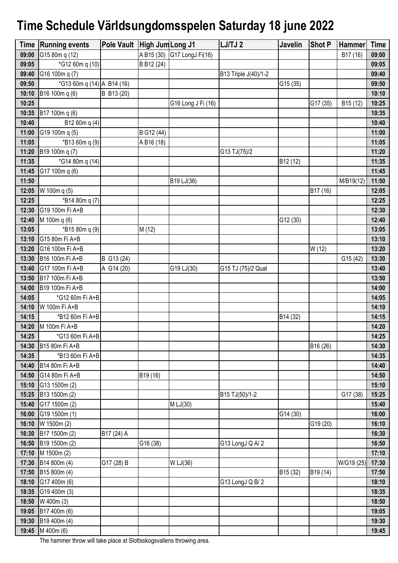## **Time Schedule Världsungdomsspelen Saturday 18 june 2022**

| <b>Time</b> | <b>Running events</b>      | Pole Vault High Jum Long J1 |            |                    | LJ/TJ 2              | Javelin              | <b>Shot P</b> | Hammer               | <b>Time</b> |
|-------------|----------------------------|-----------------------------|------------|--------------------|----------------------|----------------------|---------------|----------------------|-------------|
| 09:00       | G15 80m q (12)             |                             | A B15 (30) | G17 LongJ Fi(16)   |                      |                      |               | B17 (16)             | 09:00       |
| 09:05       | *G12 60m q (10)            |                             | B B12 (24) |                    |                      |                      |               |                      | 09:05       |
| 09:40       | G16 100m q (7)             |                             |            |                    | B13 Triple J(40)/1-2 |                      |               |                      | 09:40       |
| 09:50       | *G13 60m q (14) A B14 (16) |                             |            |                    |                      | G15 (35)             |               |                      | 09:50       |
| 10:10       | B16 100m q (6)             | B B13 (20)                  |            |                    |                      |                      |               |                      | 10:10       |
| 10:25       |                            |                             |            | G16 Long J Fi (16) |                      |                      | G17 (35)      | B <sub>15</sub> (12) | 10:25       |
| 10:35       | B17 100m q (6)             |                             |            |                    |                      |                      |               |                      | 10:35       |
| 10:40       | B12 60m q (4)              |                             |            |                    |                      |                      |               |                      | 10:40       |
| 11:00       | G19 100m q (5)             |                             | B G12 (44) |                    |                      |                      |               |                      | 11:00       |
| 11:05       | $*B1360mq(9)$              |                             | A B16 (18) |                    |                      |                      |               |                      | 11:05       |
| 11:20       | B19 100m q (7)             |                             |            |                    | G13 TJ(75)/2         |                      |               |                      | 11:20       |
| 11:35       | *G14 80m q (14)            |                             |            |                    |                      | B12 (12)             |               |                      | 11:35       |
| 11:45       | G17 100m q (6)             |                             |            |                    |                      |                      |               |                      | 11:45       |
| 11:50       |                            |                             |            | B19 LJ(36)         |                      |                      |               | M/B19(12)            | 11:50       |
| 12:05       | W 100m q (5)               |                             |            |                    |                      |                      | B17 (16)      |                      | 12:05       |
| 12:25       | *B14 80m q (7)             |                             |            |                    |                      |                      |               |                      | 12:25       |
| 12:30       | G19 100m Fi A+B            |                             |            |                    |                      |                      |               |                      | 12:30       |
| 12:40       | M 100m q (6)               |                             |            |                    |                      | G12 (30)             |               |                      | 12:40       |
| 13:05       | *B15 80m q (9)             |                             | M (12)     |                    |                      |                      |               |                      | 13:05       |
| 13:10       | G15 80m Fi A+B             |                             |            |                    |                      |                      |               |                      | 13:10       |
| 13:20       | G16 100m Fi A+B            |                             |            |                    |                      |                      | W (12)        |                      | 13:20       |
| 13:30       | B16 100m Fi A+B            | B G13 (24)                  |            |                    |                      |                      |               | G15 (42)             | 13:30       |
| 13:40       | G17 100m Fi A+B            | A G14 (20)                  |            | G19 LJ(30)         | G15 TJ (75)/2 Qual   |                      |               |                      | 13:40       |
| 13:50       | B17 100m Fi A+B            |                             |            |                    |                      |                      |               |                      | 13:50       |
| 14:00       | B19 100m Fi A+B            |                             |            |                    |                      |                      |               |                      | 14:00       |
| 14:05       | *G12 60m Fi A+B            |                             |            |                    |                      |                      |               |                      | 14:05       |
| 14:10       | W 100m Fi A+B              |                             |            |                    |                      |                      |               |                      | 14:10       |
| 14:15       | *B12 60m Fi A+B            |                             |            |                    |                      | B14 (32)             |               |                      | 14:15       |
| 14:20       | M 100m Fi A+B              |                             |            |                    |                      |                      |               |                      | 14:20       |
| 14:25       | *G13 60m Fi A+B            |                             |            |                    |                      |                      |               |                      | 14:25       |
| 14:30       | B15 80m Fi A+B             |                             |            |                    |                      |                      | B16 (26)      |                      | 14:30       |
| 14:35       | *B13 60m Fi A+B            |                             |            |                    |                      |                      |               |                      | 14:35       |
| 14:40       | B14 80m Fi A+B             |                             |            |                    |                      |                      |               |                      | 14:40       |
| 14:50       | G14 80m Fi A+B             |                             | B19 (16)   |                    |                      |                      |               |                      | 14:50       |
| 15:10       | G13 1500m (2)              |                             |            |                    |                      |                      |               |                      | 15:10       |
| 15:25       | B13 1500m (2)              |                             |            |                    | B15 TJ(50)/1-2       |                      |               | G17 (38)             | 15:25       |
| 15:40       | G17 1500m (2)              |                             |            | M LJ(30)           |                      |                      |               |                      | 15:40       |
| 16:00       | G19 1500m (1)              |                             |            |                    |                      | G14 (30)             |               |                      | 16:00       |
| 16:10       | W 1500m (2)                |                             |            |                    |                      |                      | G19 (20)      |                      | 16:10       |
| 16:30       | B17 1500m (2)              | B17 (24) A                  |            |                    |                      |                      |               |                      | 16:30       |
| 16:50       | B19 1500m (2)              |                             | G16 (38)   |                    | G13 LongJ Q A/2      |                      |               |                      | 16:50       |
| 17:10       | M 1500m (2)                |                             |            |                    |                      |                      |               |                      | 17:10       |
| 17:30       | B14 800m (4)               | G17 (28) B                  |            | W LJ(36)           |                      |                      |               | W/G19 (25)           | 17:30       |
| 17:50       | B15 800m (4)               |                             |            |                    |                      | B <sub>15</sub> (32) | B19 (14)      |                      | 17:50       |
| 18:10       | G17 400m (6)               |                             |            |                    | G13 LongJ Q B/2      |                      |               |                      | 18:10       |
| 18:35       | G19 400m (3)               |                             |            |                    |                      |                      |               |                      | 18:35       |
| 18:50       | W 400m (3)                 |                             |            |                    |                      |                      |               |                      | 18:50       |
| 19:05       | B17 400m (6)               |                             |            |                    |                      |                      |               |                      | 19:05       |
| 19:30       | B19 400m (4)               |                             |            |                    |                      |                      |               |                      | 19:30       |
| 19:45       | M 400m (6)                 |                             |            |                    |                      |                      |               |                      | 19:45       |

The hammer throw will take place at Slottsskogsvallens throwing area.